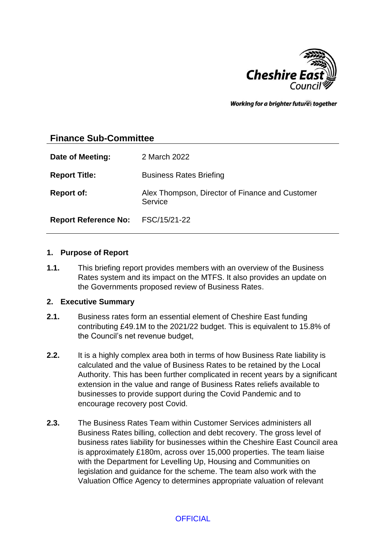

Working for a brighter futures together

# **Finance Sub-Committee**

| Date of Meeting:                  | 2 March 2022                                               |
|-----------------------------------|------------------------------------------------------------|
| <b>Report Title:</b>              | <b>Business Rates Briefing</b>                             |
| <b>Report of:</b>                 | Alex Thompson, Director of Finance and Customer<br>Service |
| Report Reference No: FSC/15/21-22 |                                                            |

### **1. Purpose of Report**

**1.1.** This briefing report provides members with an overview of the Business Rates system and its impact on the MTFS. It also provides an update on the Governments proposed review of Business Rates.

### **2. Executive Summary**

- **2.1.** Business rates form an essential element of Cheshire East funding contributing £49.1M to the 2021/22 budget. This is equivalent to 15.8% of the Council's net revenue budget,
- **2.2.** It is a highly complex area both in terms of how Business Rate liability is calculated and the value of Business Rates to be retained by the Local Authority. This has been further complicated in recent years by a significant extension in the value and range of Business Rates reliefs available to businesses to provide support during the Covid Pandemic and to encourage recovery post Covid.
- **2.3.** The Business Rates Team within Customer Services administers all Business Rates billing, collection and debt recovery. The gross level of business rates liability for businesses within the Cheshire East Council area is approximately £180m, across over 15,000 properties. The team liaise with the Department for Levelling Up, Housing and Communities on legislation and guidance for the scheme. The team also work with the Valuation Office Agency to determines appropriate valuation of relevant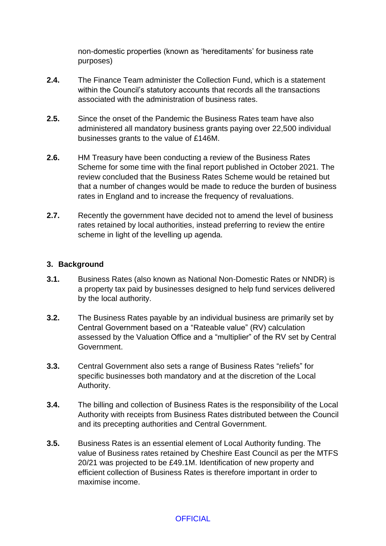non-domestic properties (known as 'hereditaments' for business rate purposes)

- **2.4.** The Finance Team administer the Collection Fund, which is a statement within the Council's statutory accounts that records all the transactions associated with the administration of business rates.
- **2.5.** Since the onset of the Pandemic the Business Rates team have also administered all mandatory business grants paying over 22,500 individual businesses grants to the value of £146M.
- **2.6.** HM Treasury have been conducting a review of the Business Rates Scheme for some time with the final report published in October 2021. The review concluded that the Business Rates Scheme would be retained but that a number of changes would be made to reduce the burden of business rates in England and to increase the frequency of revaluations.
- **2.7.** Recently the government have decided not to amend the level of business rates retained by local authorities, instead preferring to review the entire scheme in light of the levelling up agenda.

### **3. Background**

- **3.1.** Business Rates (also known as National Non-Domestic Rates or NNDR) is a property tax paid by businesses designed to help fund services delivered by the local authority.
- **3.2.** The Business Rates payable by an individual business are primarily set by Central Government based on a "Rateable value" (RV) calculation assessed by the Valuation Office and a "multiplier" of the RV set by Central Government.
- **3.3.** Central Government also sets a range of Business Rates "reliefs" for specific businesses both mandatory and at the discretion of the Local Authority.
- **3.4.** The billing and collection of Business Rates is the responsibility of the Local Authority with receipts from Business Rates distributed between the Council and its precepting authorities and Central Government.
- **3.5.** Business Rates is an essential element of Local Authority funding. The value of Business rates retained by Cheshire East Council as per the MTFS 20/21 was projected to be £49.1M. Identification of new property and efficient collection of Business Rates is therefore important in order to maximise income.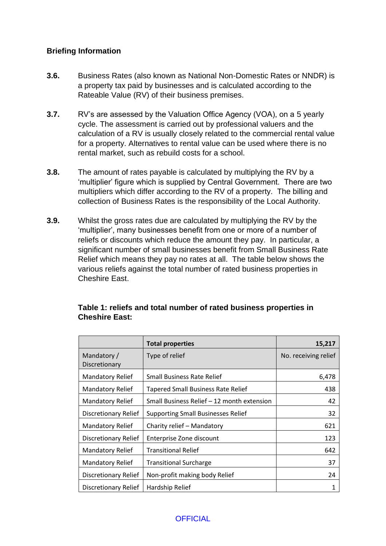# **Briefing Information**

- **3.6.** Business Rates (also known as National Non-Domestic Rates or NNDR) is a property tax paid by businesses and is calculated according to the Rateable Value (RV) of their business premises.
- **3.7.** RV's are assessed by the Valuation Office Agency (VOA), on a 5 yearly cycle. The assessment is carried out by professional valuers and the calculation of a RV is usually closely related to the commercial rental value for a property. Alternatives to rental value can be used where there is no rental market, such as rebuild costs for a school.
- **3.8.** The amount of rates payable is calculated by multiplying the RV by a 'multiplier' figure which is supplied by Central Government. There are two multipliers which differ according to the RV of a property. The billing and collection of Business Rates is the responsibility of the Local Authority.
- **3.9.** Whilst the gross rates due are calculated by multiplying the RV by the 'multiplier', many businesses benefit from one or more of a number of reliefs or discounts which reduce the amount they pay. In particular, a significant number of small businesses benefit from Small Business Rate Relief which means they pay no rates at all. The table below shows the various reliefs against the total number of rated business properties in Cheshire East.

|                              | <b>Total properties</b>                    | 15,217               |
|------------------------------|--------------------------------------------|----------------------|
| Mandatory /<br>Discretionary | Type of relief                             | No. receiving relief |
| <b>Mandatory Relief</b>      | <b>Small Business Rate Relief</b>          | 6,478                |
| Mandatory Relief             | Tapered Small Business Rate Relief         | 438                  |
| <b>Mandatory Relief</b>      | Small Business Relief - 12 month extension | 42                   |
| Discretionary Relief         | <b>Supporting Small Businesses Relief</b>  | 32                   |
| <b>Mandatory Relief</b>      | Charity relief - Mandatory                 | 621                  |
| Discretionary Relief         | Enterprise Zone discount                   | 123                  |
| <b>Mandatory Relief</b>      | <b>Transitional Relief</b>                 | 642                  |
| <b>Mandatory Relief</b>      | <b>Transitional Surcharge</b>              | 37                   |
| Discretionary Relief         | Non-profit making body Relief              | 24                   |
| Discretionary Relief         | Hardship Relief                            |                      |

# **Table 1: reliefs and total number of rated business properties in Cheshire East:**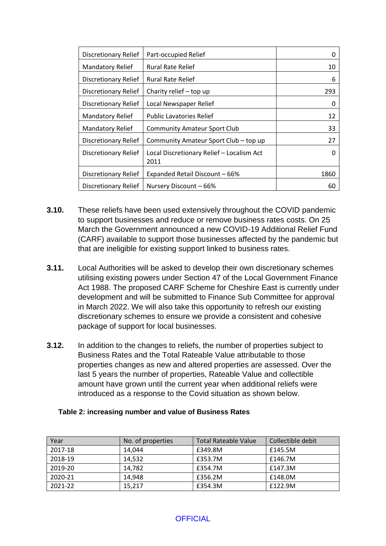| <b>Discretionary Relief</b> | Part-occupied Relief                              | 0    |
|-----------------------------|---------------------------------------------------|------|
| <b>Mandatory Relief</b>     | <b>Rural Rate Relief</b>                          | 10   |
| <b>Discretionary Relief</b> | <b>Rural Rate Relief</b>                          | 6    |
| <b>Discretionary Relief</b> | Charity relief - top up                           | 293  |
| <b>Discretionary Relief</b> | Local Newspaper Relief                            | 0    |
| <b>Mandatory Relief</b>     | <b>Public Lavatories Relief</b>                   | 12   |
| <b>Mandatory Relief</b>     | <b>Community Amateur Sport Club</b>               | 33   |
| <b>Discretionary Relief</b> | Community Amateur Sport Club - top up             | 27   |
| Discretionary Relief        | Local Discretionary Relief - Localism Act<br>2011 | 0    |
| <b>Discretionary Relief</b> | Expanded Retail Discount - 66%                    | 1860 |
| Discretionary Relief        | Nursery Discount - 66%                            | 60   |

- **3.10.** These reliefs have been used extensively throughout the COVID pandemic to support businesses and reduce or remove business rates costs. On 25 March the Government announced a new COVID-19 Additional Relief Fund (CARF) available to support those businesses affected by the pandemic but that are ineligible for existing support linked to business rates.
- **3.11.** Local Authorities will be asked to develop their own discretionary schemes utilising existing powers under Section 47 of the Local Government Finance Act 1988. The proposed CARF Scheme for Cheshire East is currently under development and will be submitted to Finance Sub Committee for approval in March 2022. We will also take this opportunity to refresh our existing discretionary schemes to ensure we provide a consistent and cohesive package of support for local businesses.
- **3.12.** In addition to the changes to reliefs, the number of properties subject to Business Rates and the Total Rateable Value attributable to those properties changes as new and altered properties are assessed. Over the last 5 years the number of properties, Rateable Value and collectible amount have grown until the current year when additional reliefs were introduced as a response to the Covid situation as shown below.

| Year    | No. of properties | Total Rateable Value | Collectible debit |
|---------|-------------------|----------------------|-------------------|
| 2017-18 | 14.044            | £349.8M              | £145.5M           |
| 2018-19 | 14,532            | £353.7M              | £146.7M           |
| 2019-20 | 14,782            | £354.7M              | £147.3M           |
| 2020-21 | 14,948            | £356.2M              | £148.0M           |
| 2021-22 | 15.217            | £354.3M              | £122.9M           |

#### **Table 2: increasing number and value of Business Rates**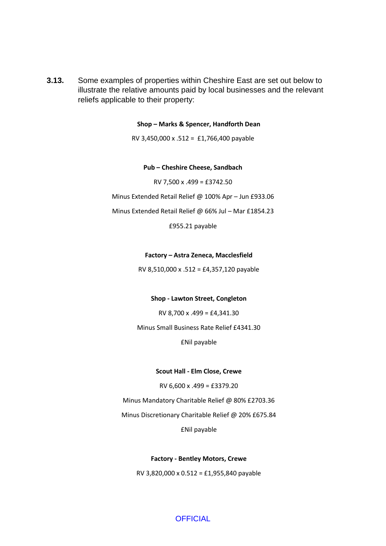**3.13.** Some examples of properties within Cheshire East are set out below to illustrate the relative amounts paid by local businesses and the relevant reliefs applicable to their property:

**Shop – Marks & Spencer, Handforth Dean**

RV 3,450,000 x .512 = £1,766,400 payable

#### **Pub – Cheshire Cheese, Sandbach**

RV 7,500 x .499 = £3742.50

Minus Extended Retail Relief @ 100% Apr – Jun £933.06

Minus Extended Retail Relief @ 66% Jul – Mar £1854.23

£955.21 payable

#### **Factory – Astra Zeneca, Macclesfield**

RV 8,510,000 x .512 = £4,357,120 payable

#### **Shop - Lawton Street, Congleton**

RV 8,700 x .499 = £4,341.30

Minus Small Business Rate Relief £4341.30

£Nil payable

#### **Scout Hall - Elm Close, Crewe**

RV 6,600 x .499 = £3379.20

Minus Mandatory Charitable Relief @ 80% £2703.36

Minus Discretionary Charitable Relief @ 20% £675.84

£Nil payable

#### **Factory - Bentley Motors, Crewe**

RV 3,820,000 x 0.512 = £1,955,840 payable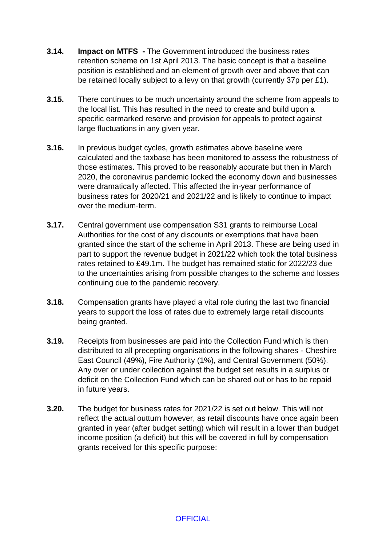- **3.14. Impact on MTFS -** The Government introduced the business rates retention scheme on 1st April 2013. The basic concept is that a baseline position is established and an element of growth over and above that can be retained locally subject to a levy on that growth (currently 37p per £1).
- **3.15.** There continues to be much uncertainty around the scheme from appeals to the local list. This has resulted in the need to create and build upon a specific earmarked reserve and provision for appeals to protect against large fluctuations in any given year.
- **3.16.** In previous budget cycles, growth estimates above baseline were calculated and the taxbase has been monitored to assess the robustness of those estimates. This proved to be reasonably accurate but then in March 2020, the coronavirus pandemic locked the economy down and businesses were dramatically affected. This affected the in-year performance of business rates for 2020/21 and 2021/22 and is likely to continue to impact over the medium-term.
- **3.17.** Central government use compensation S31 grants to reimburse Local Authorities for the cost of any discounts or exemptions that have been granted since the start of the scheme in April 2013. These are being used in part to support the revenue budget in 2021/22 which took the total business rates retained to £49.1m. The budget has remained static for 2022/23 due to the uncertainties arising from possible changes to the scheme and losses continuing due to the pandemic recovery.
- **3.18.** Compensation grants have played a vital role during the last two financial years to support the loss of rates due to extremely large retail discounts being granted.
- **3.19.** Receipts from businesses are paid into the Collection Fund which is then distributed to all precepting organisations in the following shares - Cheshire East Council (49%), Fire Authority (1%), and Central Government (50%). Any over or under collection against the budget set results in a surplus or deficit on the Collection Fund which can be shared out or has to be repaid in future years.
- **3.20.** The budget for business rates for 2021/22 is set out below. This will not reflect the actual outturn however, as retail discounts have once again been granted in year (after budget setting) which will result in a lower than budget income position (a deficit) but this will be covered in full by compensation grants received for this specific purpose: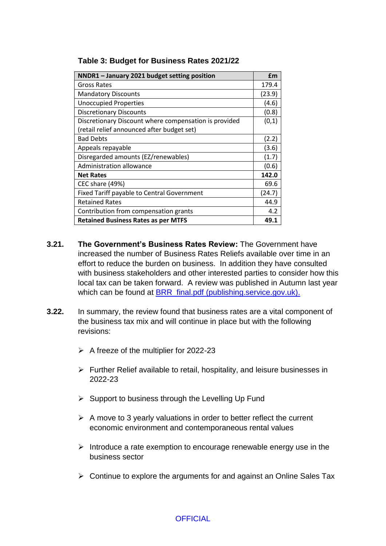| NNDR1 - January 2021 budget setting position          | £m     |
|-------------------------------------------------------|--------|
| Gross Rates                                           | 179.4  |
| <b>Mandatory Discounts</b>                            | (23.9) |
| <b>Unoccupied Properties</b>                          | (4.6)  |
| <b>Discretionary Discounts</b>                        | (0.8)  |
| Discretionary Discount where compensation is provided | (0,1)  |
| (retail relief announced after budget set)            |        |
| <b>Bad Debts</b>                                      | (2.2)  |
| Appeals repayable                                     | (3.6)  |
| Disregarded amounts (EZ/renewables)                   | (1.7)  |
| Administration allowance                              | (0.6)  |
| <b>Net Rates</b>                                      | 142.0  |
| CEC share (49%)                                       | 69.6   |
| <b>Fixed Tariff payable to Central Government</b>     | (24.7) |
| <b>Retained Rates</b>                                 | 44.9   |
| Contribution from compensation grants                 | 4.2    |
| <b>Retained Business Rates as per MTFS</b>            | 49.1   |

### **Table 3: Budget for Business Rates 2021/22**

- **3.21. The Government's Business Rates Review:** The Government have increased the number of Business Rates Reliefs available over time in an effort to reduce the burden on business. In addition they have consulted with business stakeholders and other interested parties to consider how this local tax can be taken forward. A review was published in Autumn last year which can be found at [BRR\\_final.pdf \(publishing.service.gov.uk\).](https://assets.publishing.service.gov.uk/government/uploads/system/uploads/attachment_data/file/1028478/BRR_final.pdf)
- **3.22.** In summary, the review found that business rates are a vital component of the business tax mix and will continue in place but with the following revisions:
	- $\triangleright$  A freeze of the multiplier for 2022-23
	- $\triangleright$  Further Relief available to retail, hospitality, and leisure businesses in 2022-23
	- $\triangleright$  Support to business through the Levelling Up Fund
	- $\triangleright$  A move to 3 yearly valuations in order to better reflect the current economic environment and contemporaneous rental values
	- $\triangleright$  Introduce a rate exemption to encourage renewable energy use in the business sector
	- $\triangleright$  Continue to explore the arguments for and against an Online Sales Tax